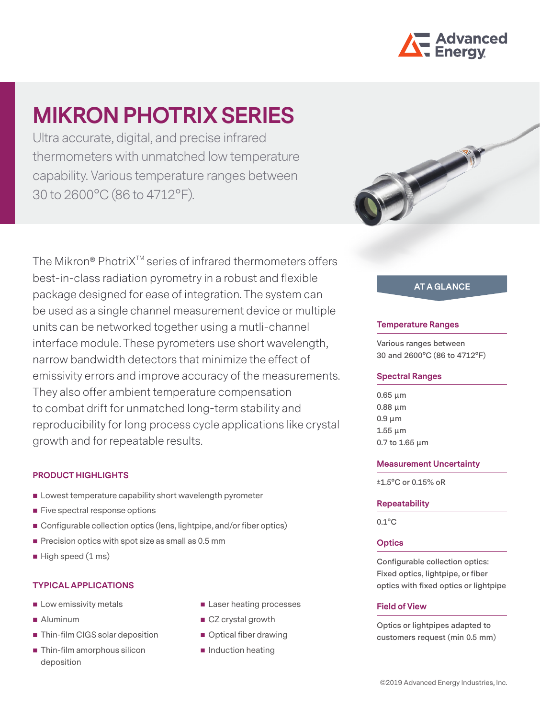

# **MIKRON PHOTRIX SERIES**

Ultra accurate, digital, and precise infrared thermometers with unmatched low temperature capability. Various temperature ranges between 30 to 2600°C (86 to 4712°F).

The Mikron® PhotriX<sup>™</sup> series of infrared thermometers offers best-in-class radiation pyrometry in a robust and flexible package designed for ease of integration. The system can be used as a single channel measurement device or multiple units can be networked together using a mutli-channel interface module. These pyrometers use short wavelength, narrow bandwidth detectors that minimize the effect of emissivity errors and improve accuracy of the measurements. They also offer ambient temperature compensation to combat drift for unmatched long-term stability and reproducibility for long process cycle applications like crystal growth and for repeatable results.

# **PRODUCT HIGHLIGHTS**

- **EXECUTE:** Lowest temperature capability short wavelength pyrometer
- Five spectral response options
- Configurable collection optics (lens, lightpipe, and/or fiber optics)
- $\blacksquare$  Precision optics with spot size as small as 0.5 mm
- $\blacksquare$  High speed (1 ms)

## **TYPICAL APPLICATIONS**

- $\blacksquare$  Low emissivity metals
- Aluminum
- **Thin-film CIGS solar deposition**
- Thin-film amorphous silicon deposition
- Laser heating processes
- CZ crystal growth
- Optical fiber drawing
- $\blacksquare$  Induction heating



# **AT A GLANCE**

#### **Temperature Ranges**

**Various ranges between 30 and 2600°C (86 to 4712°F)**

#### **Spectral Ranges**

**0.65 µm 0.88 µm 0.9 µm 1.55 µm 0.7 to 1.65 µm**

#### **Measurement Uncertainty**

**±1.5°C or 0.15% oR**

#### **Repeatability**

**0.1°C**

## **Optics**

**Configurable collection optics: Fixed optics, lightpipe, or fiber optics with fixed optics or lightpipe**

#### **Field of View**

**Optics or lightpipes adapted to customers request (min 0.5 mm)**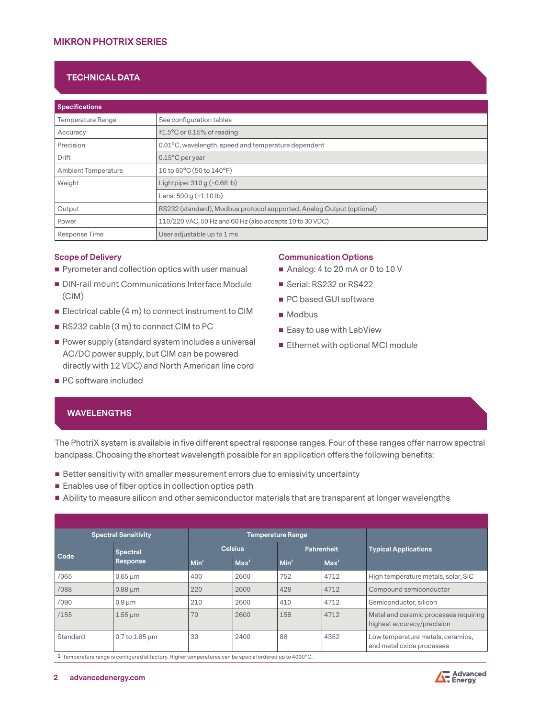# **TECHNICAL DATA**

| <b>Specifications</b>      |                                                                       |
|----------------------------|-----------------------------------------------------------------------|
| <b>Temperature Range</b>   | See configuration tables                                              |
| Accuracy                   | ±1.5°C or 0.15% of reading                                            |
| Precision                  | 0.01°C, wavelength, speed and temperature dependent                   |
| Drift                      | $0.15^{\circ}$ C per year                                             |
| <b>Ambient Temperature</b> | 10 to 60°C (50 to 140°F)                                              |
| Weight                     | Lightpipe: $310 g (~0.68 lb)$                                         |
|                            | Lens: $500 g$ $(-1.10 lb)$                                            |
| Output                     | RS232 (standard), Modbus protocol supported, Analog Output (optional) |
| Power                      | 110/220 VAC, 50 Hz and 60 Hz (also accepts 10 to 30 VDC)              |
| Response Time              | User adjustable up to 1 ms                                            |

#### **Scope of Delivery**

- **Pyrometer and collection optics with user manual**
- **DIN-rail mount Communications Interface Module** (CIM)
- Electrical cable  $(4 \text{ m})$  to connect instrument to CIM
- RS232 cable (3 m) to connect CIM to PC
- **Power supply (standard system includes a universal** AC/DC power supply, but CIM can be powered directly with 12 VDC) and North American line cord
- **PC** software included

# **Communication Options**

- Analog: 4 to 20 mA or 0 to 10 V
- Serial: RS232 or RS422
- **PC** based GUI software
- Modbus
- Easy to use with LabView
- **Ethernet with optional MCI module**

## **WAVELENGTHS**

The PhotriX system is available in five different spectral response ranges. Four of these ranges offer narrow spectral bandpass. Choosing the shortest wavelength possible for an application offers the following benefits:

- Better sensitivity with smaller measurement errors due to emissivity uncertainty
- **Enables use of fiber optics in collection optics path**
- Ability to measure silicon and other semiconductor materials that are transparent at longer wavelengths

|          | <b>Spectral Sensitivity</b> |                  | <b>Temperature Range</b> |                  |                  |                                                                     |
|----------|-----------------------------|------------------|--------------------------|------------------|------------------|---------------------------------------------------------------------|
| Code     | <b>Spectral</b>             |                  | <b>Celsius</b>           |                  | Fahrenheit       | <b>Typical Applications</b>                                         |
|          | <b>Response</b>             | Min <sup>1</sup> | Max <sup>1</sup>         | Min <sup>1</sup> | Max <sup>1</sup> |                                                                     |
| /065     | $0.65 \mu m$                | 400              | 2600                     | 752              | 4712             | High temperature metals, solar, SiC                                 |
| /088     | $0.88 \mu m$                | 220              | 2600                     | 428              | 4712             | Compound semiconductor                                              |
| /090     | $0.9 \mu m$                 | 210              | 2600                     | 410              | 4712             | Semiconductor, silicon                                              |
| /155     | $1.55 \mu m$                | 70               | 2600                     | 158              | 4712             | Metal and ceramic processes requiring<br>highest accuracy/precision |
| Standard | $0.7$ to 1.65 $\mu$ m       | 30               | 2400                     | 86               | 4352             | Low temperature metals, ceramics,<br>and metal oxide processes      |

**1** Temperature range is configured at factory. Higher temperatures can be special ordered up to 4000°C.

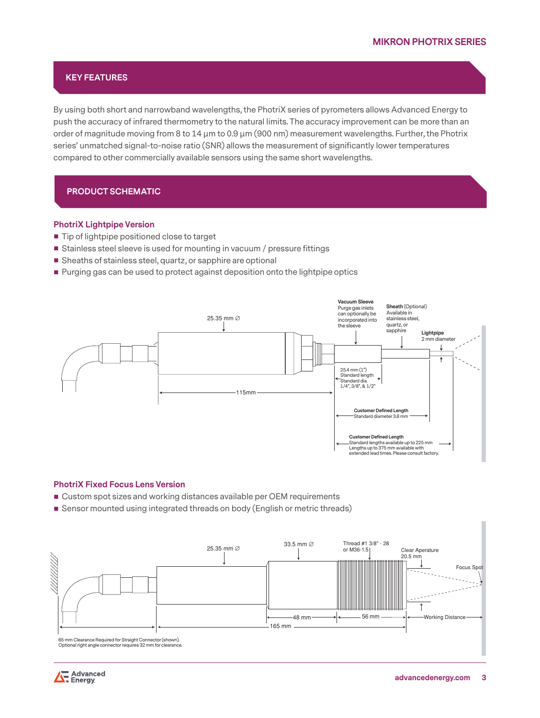# **KEY FEATURES**

By using both short and narrowband wavelengths, the PhotriX series of pyrometers allows Advanced Energy to push the accuracy of infrared thermometry to the natural limits. The accuracy improvement can be more than an order of magnitude moving from 8 to 14  $\mu$ m to 0.9  $\mu$ m (900 nm) measurement wavelengths. Further, the Photrix series' unmatched signal-to-noise ratio (SNR) allows the measurement of significantly lower temperatures compared to other commercially available sensors using the same short wavelengths.

# **PRODUCT SCHEMATIC**

#### **PhotriX Lightpipe Version**

- Tip of lightpipe positioned close to target
- Stainless steel sleeve is used for mounting in vacuum / pressure fittings
- Sheaths of stainless steel, quartz, or sapphire are optional
- **Purging gas can be used to protect against deposition onto the lightpipe optics**



#### **PhotriX Fixed Focus Lens Version**

- Custom spot sizes and working distances available per OEM requirements
- Sensor mounted using integrated threads on body (English or metric threads)



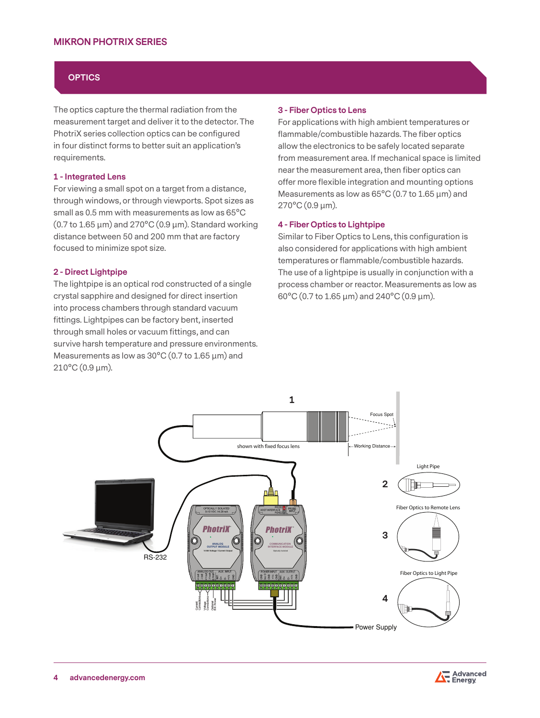# **MIKRON PHOTRIX SERIES**

## **OPTICS**

The optics capture the thermal radiation from the measurement target and deliver it to the detector. The PhotriX series collection optics can be configured in four distinct forms to better suit an application's requirements.

#### **1 - Integrated Lens**

For viewing a small spot on a target from a distance, through windows, or through viewports. Spot sizes as small as 0.5 mm with measurements as low as 65°C (0.7 to 1.65  $\mu$ m) and 270°C (0.9  $\mu$ m). Standard working distance between 50 and 200 mm that are factory focused to minimize spot size.

#### **2 - Direct Lightpipe**

The lightpipe is an optical rod constructed of a single crystal sapphire and designed for direct insertion into process chambers through standard vacuum fittings. Lightpipes can be factory bent, inserted through small holes or vacuum fittings, and can survive harsh temperature and pressure environments. Measurements as low as  $30^{\circ}$ C (0.7 to 1.65  $\mu$ m) and  $210^{\circ}$ C $(0.9 \,\mu$ m).

#### **3 - Fiber Optics to Lens**

For applications with high ambient temperatures or flammable/combustible hazards. The fiber optics allow the electronics to be safely located separate from measurement area. If mechanical space is limited near the measurement area, then fiber optics can offer more flexible integration and mounting options Measurements as low as 65°C (0.7 to 1.65  $\mu$ m) and 270°C (0.9 µm).

#### **4 - Fiber Optics to Lightpipe**

Similar to Fiber Optics to Lens, this configuration is also considered for applications with high ambient temperatures or flammable/combustible hazards. The use of a lightpipe is usually in conjunction with a process chamber or reactor. Measurements as low as 60°C (0.7 to 1.65 µm) and 240°C (0.9 µm).

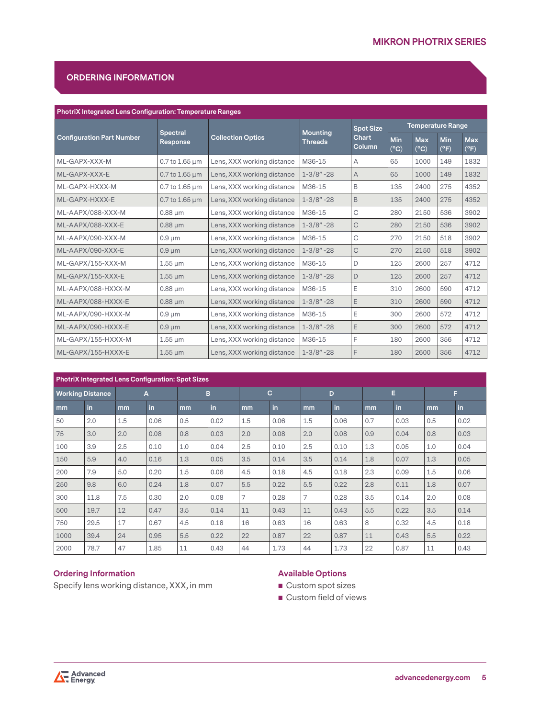# **ORDERING INFORMATION**

| <b>PhotriX Integrated Lens Configuration: Temperature Ranges</b> |                                    |                            |                                   |                        |                          |                             |                      |                             |  |  |  |  |  |
|------------------------------------------------------------------|------------------------------------|----------------------------|-----------------------------------|------------------------|--------------------------|-----------------------------|----------------------|-----------------------------|--|--|--|--|--|
|                                                                  |                                    |                            |                                   | <b>Spot Size</b>       | <b>Temperature Range</b> |                             |                      |                             |  |  |  |  |  |
| <b>Configuration Part Number</b>                                 | <b>Spectral</b><br><b>Response</b> | <b>Collection Optics</b>   | <b>Mounting</b><br><b>Threads</b> | <b>Chart</b><br>Column | Min<br>$(^{\circ}C)$     | <b>Max</b><br>$(^{\circ}C)$ | Min<br>$(^{\circ}F)$ | <b>Max</b><br>$(^{\circ}F)$ |  |  |  |  |  |
| ML-GAPX-XXX-M                                                    | $0.7$ to 1.65 $\mu$ m              | Lens, XXX working distance | M36-15                            | Α                      | 65                       | 1000                        | 149                  | 1832                        |  |  |  |  |  |
| ML-GAPX-XXX-E                                                    | $0.7$ to 1.65 $\mu$ m              | Lens, XXX working distance | $1 - 3/8" - 28$                   | A                      | 65                       | 1000                        | 149                  | 1832                        |  |  |  |  |  |
| ML-GAPX-HXXX-M                                                   | 0.7 to 1.65 µm                     | Lens, XXX working distance | M36-15                            | B                      | 135                      | 2400                        | 275                  | 4352                        |  |  |  |  |  |
| ML-GAPX-HXXX-E                                                   | $0.7$ to 1.65 $\mu$ m              | Lens, XXX working distance | $1 - 3/8" - 28$                   | B                      | 135                      | 2400                        | 275                  | 4352                        |  |  |  |  |  |
| ML-AAPX/088-XXX-M                                                | $0.88 \mu m$                       | Lens, XXX working distance | M36-15                            | C                      | 280                      | 2150                        | 536                  | 3902                        |  |  |  |  |  |
| ML-AAPX/088-XXX-E<br>$0.88 \mu m$                                |                                    | Lens, XXX working distance | $1 - 3/8" - 28$                   | $\mathsf C$            | 280                      | 2150                        | 536                  | 3902                        |  |  |  |  |  |
| ML-AAPX/090-XXX-M                                                | $0.9 \mu m$                        | Lens, XXX working distance | M36-15                            | C                      | 270                      | 2150                        | 518                  | 3902                        |  |  |  |  |  |
| ML-AAPX/090-XXX-E                                                | $0.9 \mu m$                        | Lens, XXX working distance | $1 - 3/8" - 28$                   | $\mathsf C$            | 270                      | 2150                        | 518                  | 3902                        |  |  |  |  |  |
| ML-GAPX/155-XXX-M                                                | $1.55 \,\mathrm{\upmu m}$          | Lens, XXX working distance | M36-15                            | D                      | 125                      | 2600                        | 257                  | 4712                        |  |  |  |  |  |
| ML-GAPX/155-XXX-E                                                | $1.55 \mu m$                       | Lens, XXX working distance | $1 - 3/8" - 28$                   | D                      | 125                      | 2600                        | 257                  | 4712                        |  |  |  |  |  |
| ML-AAPX/088-HXXX-M                                               | $0.88 \mu m$                       | Lens, XXX working distance | M36-15                            | Ε                      | 310                      | 2600                        | 590                  | 4712                        |  |  |  |  |  |
| ML-AAPX/088-HXXX-E                                               | $0.88 \mu m$                       | Lens, XXX working distance | $1 - 3/8" - 28$                   | Ε                      | 310                      | 2600                        | 590                  | 4712                        |  |  |  |  |  |
| ML-AAPX/090-HXXX-M                                               | $0.9 \mu m$                        | Lens, XXX working distance | M36-15                            | Ε                      | 300                      | 2600                        | 572                  | 4712                        |  |  |  |  |  |
| ML-AAPX/090-HXXX-E<br>$0.9 \mu m$                                |                                    | Lens, XXX working distance | $1 - 3/8" - 28$                   | Ε                      | 300                      | 2600                        | 572                  | 4712                        |  |  |  |  |  |
| ML-GAPX/155-HXXX-M                                               | $1.55 \,\mathrm{\upmu m}$          | Lens, XXX working distance | M36-15                            | F                      | 180                      | 2600                        | 356                  | 4712                        |  |  |  |  |  |
| ML-GAPX/155-HXXX-E                                               | $1.55 \,\mathrm{\upmu m}$          | Lens, XXX working distance | $1 - 3/8" - 28$                   | F                      | 180                      | 2600                        | 356                  | 4712                        |  |  |  |  |  |

|                         | <b>PhotriX Integrated Lens Configuration: Spot Sizes</b> |     |      |     |      |     |             |                |      |     |      |     |      |  |  |
|-------------------------|----------------------------------------------------------|-----|------|-----|------|-----|-------------|----------------|------|-----|------|-----|------|--|--|
| <b>Working Distance</b> |                                                          | A   |      |     | в    |     | $\mathbf C$ | D              |      | Е   |      | F   |      |  |  |
| mm                      | in                                                       | mm  | in   | mm  | in   | mm  | in          | mm             | in   | mm  | in   | mm  | in   |  |  |
| 50                      | 2.0                                                      | 1.5 | 0.06 | 0.5 | 0.02 | 1.5 | 0.06        | 1.5            | 0.06 | 0.7 | 0.03 | 0.5 | 0.02 |  |  |
| 75                      | 3.0                                                      | 2.0 | 0.08 | 0.8 | 0.03 | 2.0 | 0.08        | 2.0            | 0.08 | 0.9 | 0.04 | 0.8 | 0.03 |  |  |
| 100                     | 3.9                                                      | 2.5 | 0.10 | 1.0 | 0.04 | 2.5 | 0.10        | 2.5            | 0.10 | 1.3 | 0.05 | 1.0 | 0.04 |  |  |
| 150                     | 5.9                                                      | 4.0 | 0.16 | 1.3 | 0.05 | 3.5 | 0.14        | 3.5            | 0.14 | 1.8 | 0.07 | 1.3 | 0.05 |  |  |
| 200                     | 7.9                                                      | 5.0 | 0.20 | 1.5 | 0.06 | 4.5 | 0.18        | 4.5            | 0.18 | 2.3 | 0.09 | 1.5 | 0.06 |  |  |
| 250                     | 9.8                                                      | 6.0 | 0.24 | 1.8 | 0.07 | 5.5 | 0.22        | 5.5            | 0.22 | 2.8 | 0.11 | 1.8 | 0.07 |  |  |
| 300                     | 11.8                                                     | 7.5 | 0.30 | 2.0 | 0.08 | 7   | 0.28        | $\overline{7}$ | 0.28 | 3.5 | 0.14 | 2.0 | 0.08 |  |  |
| 500                     | 19.7                                                     | 12  | 0.47 | 3.5 | 0.14 | 11  | 0.43        | 11             | 0.43 | 5.5 | 0.22 | 3.5 | 0.14 |  |  |
| 750                     | 29.5                                                     | 17  | 0.67 | 4.5 | 0.18 | 16  | 0.63        | 16             | 0.63 | 8   | 0.32 | 4.5 | 0.18 |  |  |
| 1000                    | 39.4                                                     | 24  | 0.95 | 5.5 | 0.22 | 22  | 0.87        | 22             | 0.87 | 11  | 0.43 | 5.5 | 0.22 |  |  |
| 2000                    | 78.7                                                     | 47  | 1.85 | 11  | 0.43 | 44  | 1.73        | 44             | 1.73 | 22  | 0.87 | 11  | 0.43 |  |  |

# **Ordering Information**

Specify lens working distance, XXX, in mm

## **Available Options**

- Custom spot sizes
- **Custom field of views**

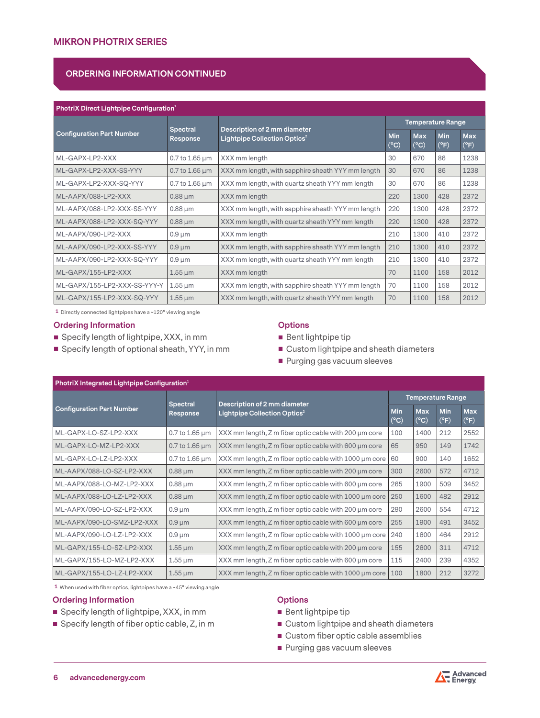# **ORDERING INFORMATION CONTINUED**

#### **PhotriX Direct Lightpipe Configuration<sup>1</sup>**

|                                  | Spectral                  | Description of 2 mm diameter                      | <b>Temperature Range</b>      |                               |                             |                             |  |  |
|----------------------------------|---------------------------|---------------------------------------------------|-------------------------------|-------------------------------|-----------------------------|-----------------------------|--|--|
| <b>Configuration Part Number</b> | Response                  | Lightpipe Collection Optics <sup>2</sup>          | <b>Min</b><br>$({}^{\circ}C)$ | <b>Max</b><br>$({}^{\circ}C)$ | <b>Min</b><br>$(^{\circ}F)$ | <b>Max</b><br>$(^{\circ}F)$ |  |  |
| ML-GAPX-LP2-XXX                  | $0.7$ to $1.65 \,\mu m$   | XXX mm length                                     | 30                            | 670                           | 86                          | 1238                        |  |  |
| ML-GAPX-LP2-XXX-SS-YYY           | $0.7$ to 1.65 $\mu$ m     | XXX mm length, with sapphire sheath YYY mm length | 30                            | 670                           | 86                          | 1238                        |  |  |
| ML-GAPX-LP2-XXX-SQ-YYY           | $0.7$ to $1.65 \,\mu m$   | XXX mm length, with quartz sheath YYY mm length   | 30                            | 670                           | 86                          | 1238                        |  |  |
| ML-AAPX/088-LP2-XXX              | $0.88 \mu m$              | XXX mm length                                     | 220                           | 1300                          | 428                         | 2372                        |  |  |
| ML-AAPX/088-LP2-XXX-SS-YYY       | $0.88 \mu m$              | XXX mm length, with sapphire sheath YYY mm length | 220                           | 1300                          | 428                         | 2372                        |  |  |
| ML-AAPX/088-LP2-XXX-SQ-YYY       | $0.88 \mu m$              | XXX mm length, with quartz sheath YYY mm length   | 220                           | 1300                          | 428                         | 2372                        |  |  |
| ML-AAPX/090-LP2-XXX              | $0.9 \mu m$               | XXX mm length                                     | 210                           | 1300                          | 410                         | 2372                        |  |  |
| ML-AAPX/090-LP2-XXX-SS-YYY       | $0.9 \mu m$               | XXX mm length, with sapphire sheath YYY mm length | 210                           | 1300                          | 410                         | 2372                        |  |  |
| ML-AAPX/090-LP2-XXX-SQ-YYY       | $0.9 \mu m$               | XXX mm length, with quartz sheath YYY mm length   | 210                           | 1300                          | 410                         | 2372                        |  |  |
| ML-GAPX/155-LP2-XXX              | $1.55 \,\mathrm{\upmu m}$ | XXX mm length                                     | 70                            | 1100                          | 158                         | 2012                        |  |  |
| ML-GAPX/155-LP2-XXX-SS-YYY-Y     | $1.55 \,\mathrm{\upmu m}$ | XXX mm length, with sapphire sheath YYY mm length | 70                            | 1100                          | 158                         | 2012                        |  |  |
| ML-GAPX/155-LP2-XXX-SQ-YYY       | $1.55 \,\mathrm{\upmu m}$ | XXX mm length, with quartz sheath YYY mm length   | 70                            | 1100                          | 158                         | 2012                        |  |  |

**1** Directly connected lightpipes have a ~120° viewing angle

#### **Ordering Information**

- Specify length of lightpipe, XXX, in mm
- Specify length of optional sheath, YYY, in mm

# **Options**

- Bent lightpipe tip
- **Custom lightpipe and sheath diameters**
- **Purging gas vacuum sleeves**

| PhotriX Integrated Lightpipe Configuration <sup>1</sup> |                             |                                                                          |                             |                             |                             |                             |  |  |  |  |  |  |  |
|---------------------------------------------------------|-----------------------------|--------------------------------------------------------------------------|-----------------------------|-----------------------------|-----------------------------|-----------------------------|--|--|--|--|--|--|--|
|                                                         |                             |                                                                          |                             | <b>Temperature Range</b>    |                             |                             |  |  |  |  |  |  |  |
| <b>Configuration Part Number</b>                        | <b>Spectral</b><br>Response | Description of 2 mm diameter<br>Lightpipe Collection Optics <sup>2</sup> | <b>Min</b><br>$(^{\circ}C)$ | <b>Max</b><br>$(^{\circ}C)$ | <b>Min</b><br>$(^{\circ}F)$ | <b>Max</b><br>$(^{\circ}F)$ |  |  |  |  |  |  |  |
| ML-GAPX-LO-SZ-LP2-XXX                                   | $0.7$ to $1.65 \,\mu m$     | XXX mm length, Z m fiber optic cable with 200 µm core                    | 100                         | 1400                        | 212                         | 2552                        |  |  |  |  |  |  |  |
| ML-GAPX-LO-MZ-LP2-XXX                                   | $0.7$ to $1.65 \,\mu m$     | XXX mm length, Z m fiber optic cable with 600 µm core                    | 65                          | 950                         | 149                         | 1742                        |  |  |  |  |  |  |  |
| ML-GAPX-LO-LZ-LP2-XXX                                   | 0.7 to 1.65 µm              | XXX mm length, Z m fiber optic cable with 1000 µm core                   | 60                          | 900                         | 140                         | 1652                        |  |  |  |  |  |  |  |
| ML-AAPX/088-LO-SZ-LP2-XXX                               | $0.88 \mu m$                | XXX mm length, Z m fiber optic cable with 200 um core                    | 300                         | 2600                        | 572                         | 4712                        |  |  |  |  |  |  |  |
| ML-AAPX/088-LO-MZ-LP2-XXX                               | $0.88 \mu m$                | XXX mm length, Z m fiber optic cable with 600 µm core                    | 265                         | 1900                        | 509                         | 3452                        |  |  |  |  |  |  |  |
| ML-AAPX/088-LO-LZ-LP2-XXX                               | $0.88 \mu m$                | XXX mm length, Z m fiber optic cable with 1000 µm core                   | 250                         | 1600                        | 482                         | 2912                        |  |  |  |  |  |  |  |
| ML-AAPX/090-LO-SZ-LP2-XXX                               | $0.9 \mu m$                 | XXX mm length, Z m fiber optic cable with 200 µm core                    | 290                         | 2600                        | 554                         | 4712                        |  |  |  |  |  |  |  |
| ML-AAPX/090-LO-SMZ-LP2-XXX                              | $0.9 \mu m$                 | XXX mm length, Z m fiber optic cable with 600 µm core                    | 255                         | 1900                        | 491                         | 3452                        |  |  |  |  |  |  |  |
| ML-AAPX/090-LO-LZ-LP2-XXX                               | $0.9 \mu m$                 | XXX mm length, Z m fiber optic cable with 1000 um core                   | 240                         | 1600                        | 464                         | 2912                        |  |  |  |  |  |  |  |
| ML-GAPX/155-LO-SZ-LP2-XXX                               | $1.55 \,\mathrm{\upmu m}$   | XXX mm length, Z m fiber optic cable with 200 µm core                    | 155                         | 2600                        | 311                         | 4712                        |  |  |  |  |  |  |  |
| ML-GAPX/155-LO-MZ-LP2-XXX                               | $1.55 \,\mathrm{\upmu m}$   | XXX mm length, Z m fiber optic cable with 600 µm core                    | 115                         | 2400                        | 239                         | 4352                        |  |  |  |  |  |  |  |
| ML-GAPX/155-LO-LZ-LP2-XXX                               | $1.55 \,\mathrm{\upmu m}$   | XXX mm length, Z m fiber optic cable with 1000 µm core                   | 100                         | 1800                        | 212                         | 3272                        |  |  |  |  |  |  |  |

**1** When used with fiber optics, lightpipes have a ~45° viewing angle

## **Ordering Information**

- Specify length of lightpipe, XXX, in mm
- Specify length of fiber optic cable, Z, in m

# **Options**

- Bent lightpipe tip
- Custom lightpipe and sheath diameters
- **Custom fiber optic cable assemblies**
- **Purging gas vacuum sleeves**

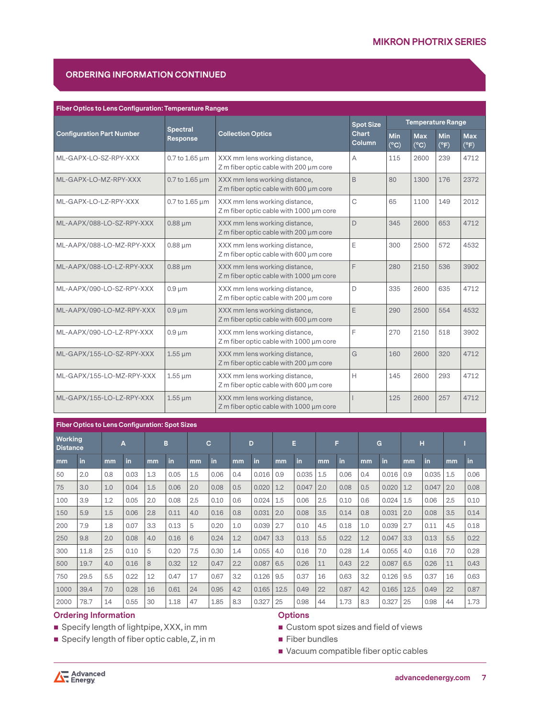# **ORDERING INFORMATION CONTINUED**

| <b>Fiber Optics to Lens Configuration: Temperature Ranges</b> |                         |                                                                          |                               |                          |                             |                    |                             |  |  |  |  |  |  |
|---------------------------------------------------------------|-------------------------|--------------------------------------------------------------------------|-------------------------------|--------------------------|-----------------------------|--------------------|-----------------------------|--|--|--|--|--|--|
|                                                               | <b>Spectral</b>         |                                                                          | <b>Spot Size</b>              | <b>Temperature Range</b> |                             |                    |                             |  |  |  |  |  |  |
| <b>Configuration Part Number</b>                              | Response                | <b>Collection Optics</b>                                                 | <b>Chart</b><br><b>Column</b> | Min<br>$(^{\circ}C)$     | <b>Max</b><br>$(^{\circ}C)$ | <b>Min</b><br>(°F) | <b>Max</b><br>$(^{\circ}F)$ |  |  |  |  |  |  |
| ML-GAPX-LO-SZ-RPY-XXX                                         | $0.7$ to $1.65 \,\mu m$ | XXX mm lens working distance,<br>Z m fiber optic cable with 200 µm core  | Α                             | 115                      | 2600                        | 239                | 4712                        |  |  |  |  |  |  |
| ML-GAPX-LO-MZ-RPY-XXX                                         | $0.7$ to 1.65 $\mu$ m   | XXX mm lens working distance,<br>Z m fiber optic cable with 600 µm core  | B                             | 80                       | 1300                        | 176                | 2372                        |  |  |  |  |  |  |
| ML-GAPX-LO-LZ-RPY-XXX                                         | 0.7 to 1.65 um          | XXX mm lens working distance,<br>Z m fiber optic cable with 1000 µm core | C                             | 65                       | 1100                        | 149                | 2012                        |  |  |  |  |  |  |
| ML-AAPX/088-LO-SZ-RPY-XXX                                     | $0.88 \mu m$            | XXX mm lens working distance,<br>Z m fiber optic cable with 200 µm core  | D                             | 345                      | 2600                        | 653                | 4712                        |  |  |  |  |  |  |
| ML-AAPX/088-LO-MZ-RPY-XXX                                     | $0.88 \mu m$            | XXX mm lens working distance,<br>Z m fiber optic cable with 600 µm core  | E                             | 300                      | 2500                        | 572                | 4532                        |  |  |  |  |  |  |
| ML-AAPX/088-LO-LZ-RPY-XXX                                     | $0.88 \mu m$            | XXX mm lens working distance,<br>Z m fiber optic cable with 1000 µm core | F                             | 280                      | 2150                        | 536                | 3902                        |  |  |  |  |  |  |
| ML-AAPX/090-LO-SZ-RPY-XXX                                     | $0.9 \mu m$             | XXX mm lens working distance,<br>Z m fiber optic cable with 200 µm core  | D                             | 335                      | 2600                        | 635                | 4712                        |  |  |  |  |  |  |
| ML-AAPX/090-LO-MZ-RPY-XXX                                     | $0.9 \mu m$             | XXX mm lens working distance,<br>Z m fiber optic cable with 600 µm core  | E                             | 290                      | 2500                        | 554                | 4532                        |  |  |  |  |  |  |
| ML-AAPX/090-LO-LZ-RPY-XXX                                     | $0.9 \mu m$             | XXX mm lens working distance,<br>Z m fiber optic cable with 1000 µm core | F                             | 270                      | 2150                        | 518                | 3902                        |  |  |  |  |  |  |
| ML-GAPX/155-LO-SZ-RPY-XXX                                     | $1.55 \mu m$            | XXX mm lens working distance,<br>Z m fiber optic cable with 200 µm core  | G                             | 160                      | 2600                        | 320                | 4712                        |  |  |  |  |  |  |
| ML-GAPX/155-LO-MZ-RPY-XXX                                     | $1.55 \mu m$            | XXX mm lens working distance,<br>Z m fiber optic cable with 600 µm core  | н                             | 145                      | 2600                        | 293                | 4712                        |  |  |  |  |  |  |
| ML-GAPX/155-LO-LZ-RPY-XXX                                     | $1.55 \mu m$            | XXX mm lens working distance,<br>Z m fiber optic cable with 1000 µm core |                               | 125                      | 2600                        | 257                | 4712                        |  |  |  |  |  |  |

## **Fiber Optics to Lens Configuration: Spot Sizes**

| Working<br><b>Distance</b> |      | A   |      | B   |      | C   |      |     | D     |      | E     |     | F    |     | G     |      | н     |     |      |  |
|----------------------------|------|-----|------|-----|------|-----|------|-----|-------|------|-------|-----|------|-----|-------|------|-------|-----|------|--|
| mm                         | in   | mm  | in   | mm  | in   | mm  | in   | mm  | in    | mm   | in    | mm  | in   | mm  | in    | mm   | in    | mm  | in   |  |
| 50                         | 2.0  | 0.8 | 0.03 | 1.3 | 0.05 | 1.5 | 0.06 | 0.4 | 0.016 | 0.9  | 0.035 | 1.5 | 0.06 | 0.4 | 0.016 | 0.9  | 0.035 | 1.5 | 0.06 |  |
| 75                         | 3.0  | 1.0 | 0.04 | 1.5 | 0.06 | 2.0 | 0.08 | 0.5 | 0.020 | 1.2  | 0.047 | 2.0 | 0.08 | 0.5 | 0.020 | 1.2  | 0.047 | 2.0 | 0.08 |  |
| 100                        | 3.9  | 1.2 | 0.05 | 2.0 | 0.08 | 2.5 | 0.10 | 0.6 | 0.024 | 1.5  | 0.06  | 2.5 | 0.10 | 0.6 | 0.024 | 1.5  | 0.06  | 2.5 | 0.10 |  |
| 150                        | 5.9  | 1.5 | 0.06 | 2.8 | 0.11 | 4.0 | 0.16 | 0.8 | 0.031 | 2.0  | 0.08  | 3.5 | 0.14 | 0.8 | 0.031 | 2.0  | 0.08  | 3.5 | 0.14 |  |
| 200                        | 7.9  | 1.8 | 0.07 | 3.3 | 0.13 | 5   | 0.20 | 1.0 | 0.039 | 2.7  | 0.10  | 4.5 | 0.18 | 1.0 | 0.039 | 2.7  | 0.11  | 4.5 | 0.18 |  |
| 250                        | 9.8  | 2.0 | 0.08 | 4.0 | 0.16 | 6   | 0.24 | 1.2 | 0.047 | 3.3  | 0.13  | 5.5 | 0.22 | 1.2 | 0.047 | 3.3  | 0.13  | 5.5 | 0.22 |  |
| 300                        | 11.8 | 2.5 | 0.10 | 5   | 0.20 | 7.5 | 0.30 | 1.4 | 0.055 | 4.0  | 0.16  | 7.0 | 0.28 | 1.4 | 0.055 | 4.0  | 0.16  | 7.0 | 0.28 |  |
| 500                        | 19.7 | 4.0 | 0.16 | 8   | 0.32 | 12  | 0.47 | 2.2 | 0.087 | 6.5  | 0.26  | 11  | 0.43 | 2.2 | 0.087 | 6.5  | 0.26  | 11  | 0.43 |  |
| 750                        | 29.5 | 5.5 | 0.22 | 12  | 0.47 | 17  | 0.67 | 3.2 | 0.126 | 9.5  | 0.37  | 16  | 0.63 | 3.2 | 0.126 | 9.5  | 0.37  | 16  | 0.63 |  |
| 1000                       | 39.4 | 7.0 | 0.28 | 16  | 0.61 | 24  | 0.95 | 4.2 | 0.165 | 12.5 | 0.49  | 22  | 0.87 | 4.2 | 0.165 | 12.5 | 0.49  | 22  | 0.87 |  |
| 2000                       | 78.7 | 14  | 0.55 | 30  | 1.18 | 47  | 1.85 | 8.3 | 0.327 | 25   | 0.98  | 44  | 1.73 | 8.3 | 0.327 | 25   | 0.98  | 44  | 1.73 |  |

## **Ordering Information**

■ Specify length of lightpipe, XXX, in mm

■ Specify length of fiber optic cable, Z, in m

#### **Options**

Custom spot sizes and field of views

■ Fiber bundles

Vacuum compatible fiber optic cables